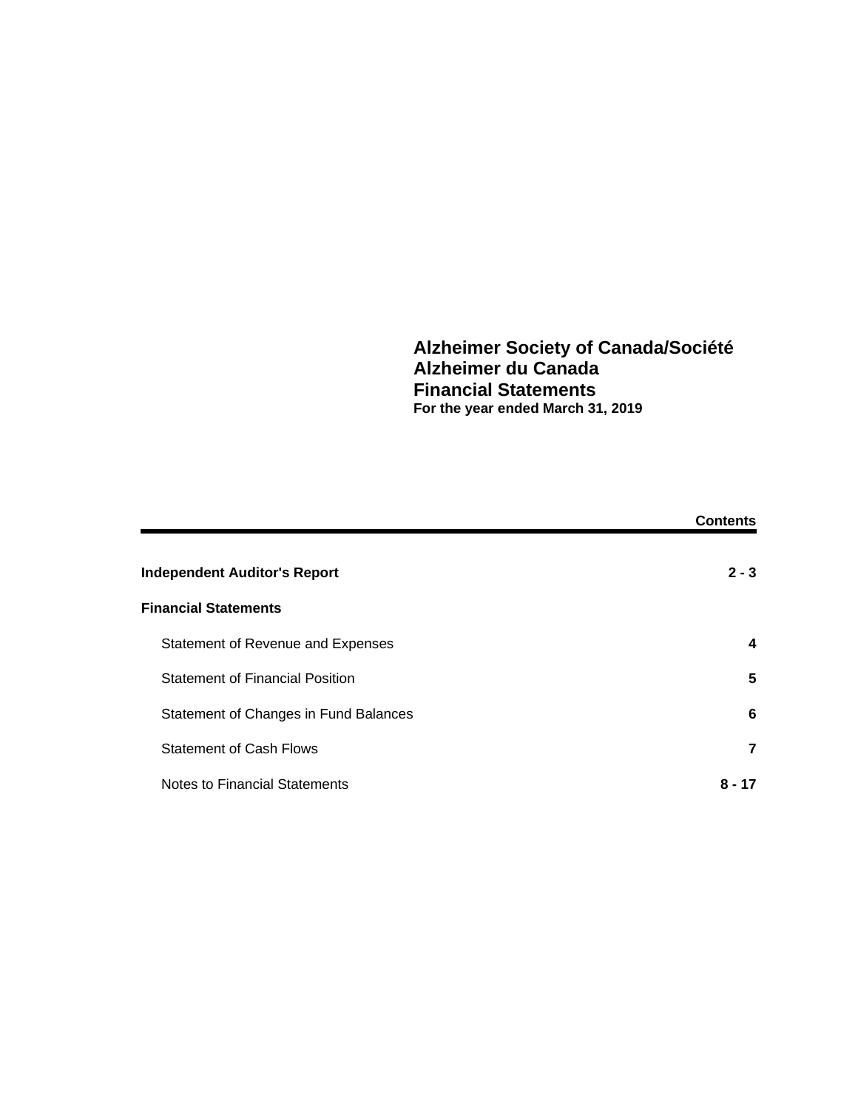### **Alzheimer Society of Canada/Société Alzheimer du Canada Financial Statements For the year ended March 31, 2019**

|                                        | <b>Contents</b> |
|----------------------------------------|-----------------|
| <b>Independent Auditor's Report</b>    | $2 - 3$         |
| <b>Financial Statements</b>            |                 |
| Statement of Revenue and Expenses      | 4               |
| <b>Statement of Financial Position</b> | 5               |
| Statement of Changes in Fund Balances  | 6               |
| <b>Statement of Cash Flows</b>         | 7               |
| Notes to Financial Statements          | 8 - 17          |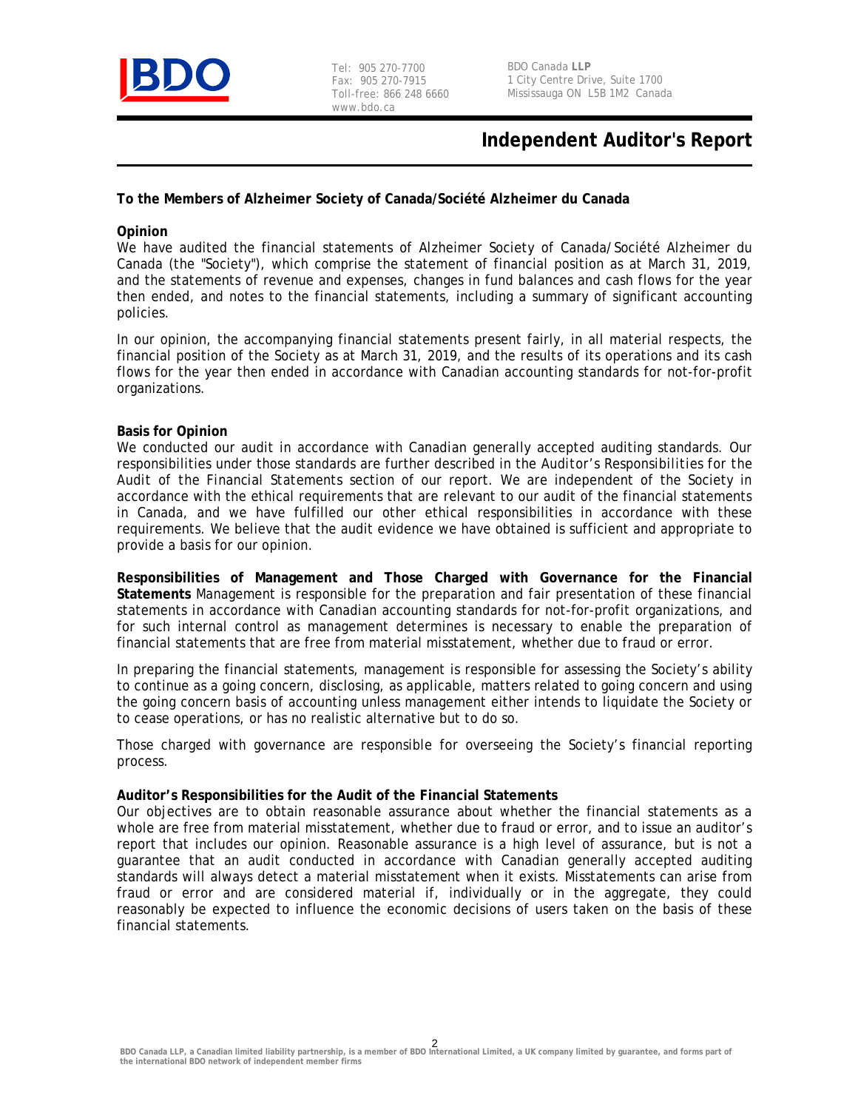

Tel: 905 270-7700 Fax: 905 270-7915 Toll-free: 866 248 6660 www.bdo.ca

## **Independent Auditor's Report**

### **To the Members of Alzheimer Society of Canada/Société Alzheimer du Canada**

### **Opinion**

We have audited the financial statements of Alzheimer Society of Canada/Société Alzheimer du Canada (the "Society"), which comprise the statement of financial position as at March 31, 2019, and the statements of revenue and expenses, changes in fund balances and cash flows for the year then ended, and notes to the financial statements, including a summary of significant accounting policies.

In our opinion, the accompanying financial statements present fairly, in all material respects, the financial position of the Society as at March 31, 2019, and the results of its operations and its cash flows for the year then ended in accordance with Canadian accounting standards for not-for-profit organizations.

#### **Basis for Opinion**

We conducted our audit in accordance with Canadian generally accepted auditing standards. Our responsibilities under those standards are further described in the *Auditor's Responsibilities for the Audit of the Financial Statements* section of our report. We are independent of the Society in accordance with the ethical requirements that are relevant to our audit of the financial statements in Canada, and we have fulfilled our other ethical responsibilities in accordance with these requirements. We believe that the audit evidence we have obtained is sufficient and appropriate to provide a basis for our opinion.

**Responsibilities of Management and Those Charged with Governance for the Financial Statements** Management is responsible for the preparation and fair presentation of these financial statements in accordance with Canadian accounting standards for not-for-profit organizations, and for such internal control as management determines is necessary to enable the preparation of financial statements that are free from material misstatement, whether due to fraud or error.

In preparing the financial statements, management is responsible for assessing the Society's ability to continue as a going concern, disclosing, as applicable, matters related to going concern and using the going concern basis of accounting unless management either intends to liquidate the Society or to cease operations, or has no realistic alternative but to do so.

Those charged with governance are responsible for overseeing the Society's financial reporting process.

#### **Auditor's Responsibilities for the Audit of the Financial Statements**

Our objectives are to obtain reasonable assurance about whether the financial statements as a whole are free from material misstatement, whether due to fraud or error, and to issue an auditor's report that includes our opinion. Reasonable assurance is a high level of assurance, but is not a guarantee that an audit conducted in accordance with Canadian generally accepted auditing standards will always detect a material misstatement when it exists. Misstatements can arise from fraud or error and are considered material if, individually or in the aggregate, they could reasonably be expected to influence the economic decisions of users taken on the basis of these financial statements.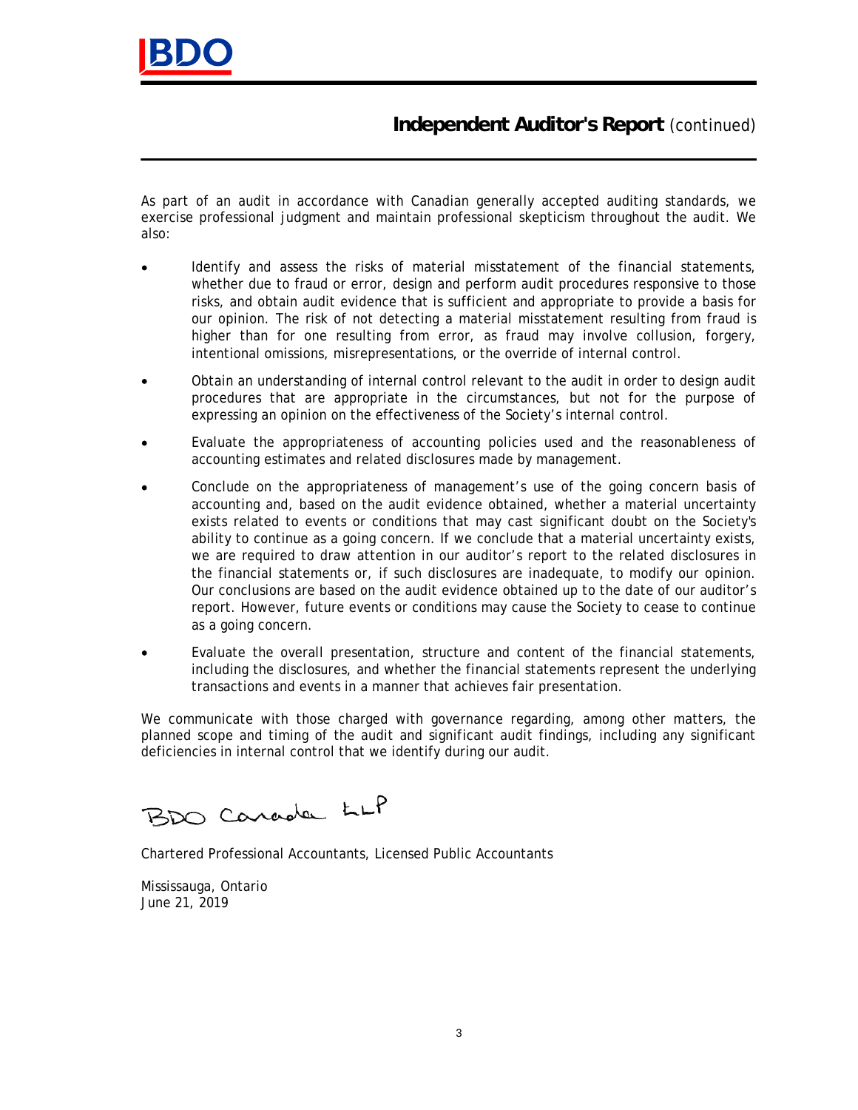

# **Independent Auditor's Report** (continued)

As part of an audit in accordance with Canadian generally accepted auditing standards, we exercise professional judgment and maintain professional skepticism throughout the audit. We also:

- Identify and assess the risks of material misstatement of the financial statements, whether due to fraud or error, design and perform audit procedures responsive to those risks, and obtain audit evidence that is sufficient and appropriate to provide a basis for our opinion. The risk of not detecting a material misstatement resulting from fraud is higher than for one resulting from error, as fraud may involve collusion, forgery, intentional omissions, misrepresentations, or the override of internal control.
- Obtain an understanding of internal control relevant to the audit in order to design audit procedures that are appropriate in the circumstances, but not for the purpose of expressing an opinion on the effectiveness of the Society's internal control.
- Evaluate the appropriateness of accounting policies used and the reasonableness of  $\bullet$ accounting estimates and related disclosures made by management.
- Conclude on the appropriateness of management's use of the going concern basis of accounting and, based on the audit evidence obtained, whether a material uncertainty exists related to events or conditions that may cast significant doubt on the Society's ability to continue as a going concern. If we conclude that a material uncertainty exists, we are required to draw attention in our auditor's report to the related disclosures in the financial statements or, if such disclosures are inadequate, to modify our opinion. Our conclusions are based on the audit evidence obtained up to the date of our auditor's report. However, future events or conditions may cause the Society to cease to continue as a going concern.
- Evaluate the overall presentation, structure and content of the financial statements,  $\bullet$ including the disclosures, and whether the financial statements represent the underlying transactions and events in a manner that achieves fair presentation.

We communicate with those charged with governance regarding, among other matters, the planned scope and timing of the audit and significant audit findings, including any significant deficiencies in internal control that we identify during our audit.

BDO Carada LLP

Chartered Professional Accountants, Licensed Public Accountants

Mississauga, Ontario June 21, 2019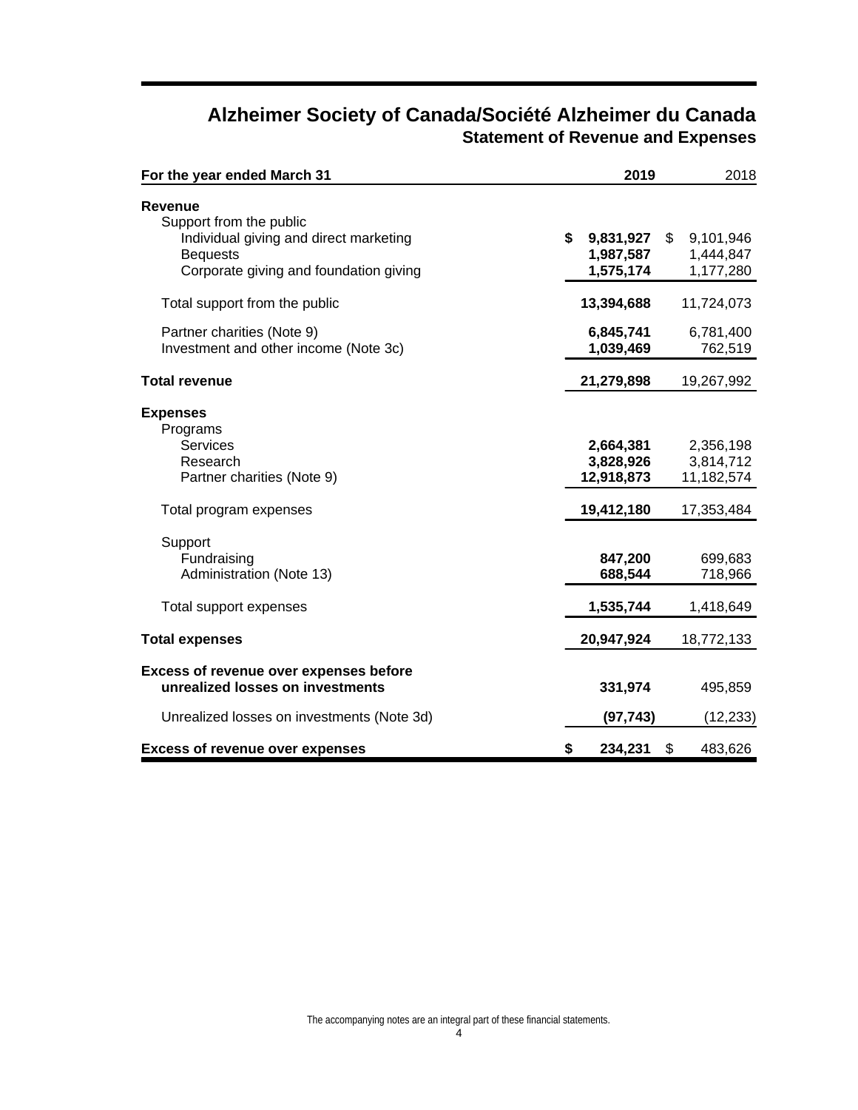# **Alzheimer Society of Canada/Société Alzheimer du Canada Statement of Revenue and Expenses**

| For the year ended March 31                                                                                                    | 2019                                      | 2018                                      |
|--------------------------------------------------------------------------------------------------------------------------------|-------------------------------------------|-------------------------------------------|
| <b>Revenue</b>                                                                                                                 |                                           |                                           |
| Support from the public<br>Individual giving and direct marketing<br><b>Bequests</b><br>Corporate giving and foundation giving | \$<br>9,831,927<br>1,987,587<br>1,575,174 | \$<br>9,101,946<br>1,444,847<br>1,177,280 |
| Total support from the public                                                                                                  | 13,394,688                                | 11,724,073                                |
| Partner charities (Note 9)<br>Investment and other income (Note 3c)                                                            | 6,845,741<br>1,039,469                    | 6,781,400<br>762,519                      |
| <b>Total revenue</b>                                                                                                           | 21,279,898                                | 19,267,992                                |
| <b>Expenses</b><br>Programs                                                                                                    |                                           |                                           |
| Services<br>Research<br>Partner charities (Note 9)                                                                             | 2,664,381<br>3,828,926<br>12,918,873      | 2,356,198<br>3,814,712<br>11,182,574      |
| Total program expenses                                                                                                         | 19,412,180                                | 17,353,484                                |
| Support<br>Fundraising<br>Administration (Note 13)                                                                             | 847,200<br>688,544                        | 699,683<br>718,966                        |
| Total support expenses                                                                                                         | 1,535,744                                 | 1,418,649                                 |
| <b>Total expenses</b>                                                                                                          | 20,947,924                                | 18,772,133                                |
| Excess of revenue over expenses before<br>unrealized losses on investments                                                     | 331,974                                   | 495,859                                   |
| Unrealized losses on investments (Note 3d)                                                                                     | (97, 743)                                 | (12, 233)                                 |
| <b>Excess of revenue over expenses</b>                                                                                         | 234,231<br>\$                             | \$<br>483,626                             |

The accompanying notes are an integral part of these financial statements.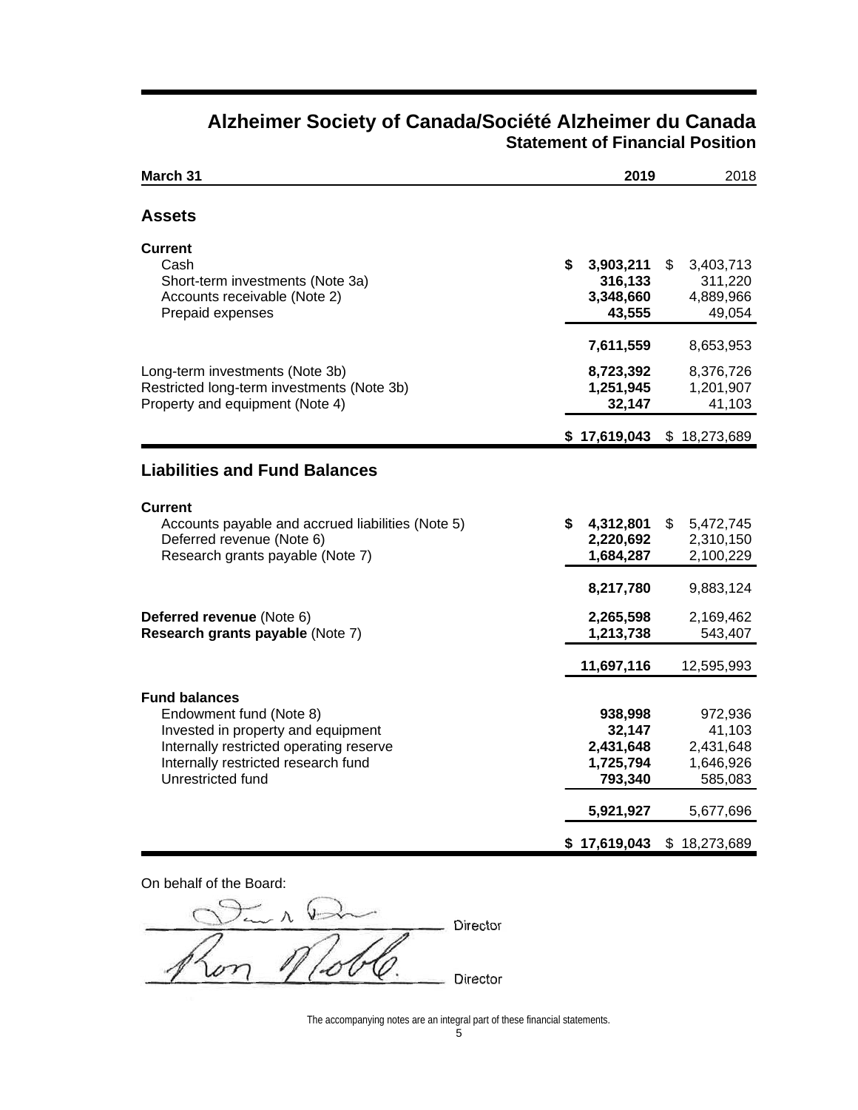| March 31                                                                                                                                                                                     | 2019                                                                |               | 2018                                                                |
|----------------------------------------------------------------------------------------------------------------------------------------------------------------------------------------------|---------------------------------------------------------------------|---------------|---------------------------------------------------------------------|
| <b>Assets</b>                                                                                                                                                                                |                                                                     |               |                                                                     |
| <b>Current</b><br>Cash<br>Short-term investments (Note 3a)<br>Accounts receivable (Note 2)<br>Prepaid expenses                                                                               | \$<br>3,903,211<br>316,133<br>3,348,660<br>43,555                   | \$            | 3,403,713<br>311,220<br>4,889,966<br>49,054                         |
| Long-term investments (Note 3b)<br>Restricted long-term investments (Note 3b)<br>Property and equipment (Note 4)                                                                             | 7,611,559<br>8,723,392<br>1,251,945<br>32,147                       |               | 8,653,953<br>8,376,726<br>1,201,907<br>41,103                       |
|                                                                                                                                                                                              | \$17,619,043                                                        |               | \$18,273,689                                                        |
| <b>Liabilities and Fund Balances</b>                                                                                                                                                         |                                                                     |               |                                                                     |
| <b>Current</b><br>Accounts payable and accrued liabilities (Note 5)<br>Deferred revenue (Note 6)<br>Research grants payable (Note 7)                                                         | \$<br>4,312,801<br>2,220,692<br>1,684,287                           | $\mathsf{\$}$ | 5,472,745<br>2,310,150<br>2,100,229                                 |
| Deferred revenue (Note 6)                                                                                                                                                                    | 8,217,780<br>2,265,598                                              |               | 9,883,124<br>2,169,462                                              |
| Research grants payable (Note 7)                                                                                                                                                             | 1,213,738                                                           |               | 543,407                                                             |
|                                                                                                                                                                                              | 11,697,116                                                          |               | 12,595,993                                                          |
| <b>Fund balances</b><br>Endowment fund (Note 8)<br>Invested in property and equipment<br>Internally restricted operating reserve<br>Internally restricted research fund<br>Unrestricted fund | 938,998<br>32,147<br>2,431,648<br>1,725,794<br>793,340<br>5,921,927 |               | 972,936<br>41,103<br>2,431,648<br>1,646,926<br>585,083<br>5,677,696 |
|                                                                                                                                                                                              | \$17,619,043                                                        |               | \$18,273,689                                                        |

# **Alzheimer Society of Canada/Société Alzheimer du Canada Statement of Financial Position**

On behalf of the Board:

Director Director

The accompanying notes are an integral part of these financial statements.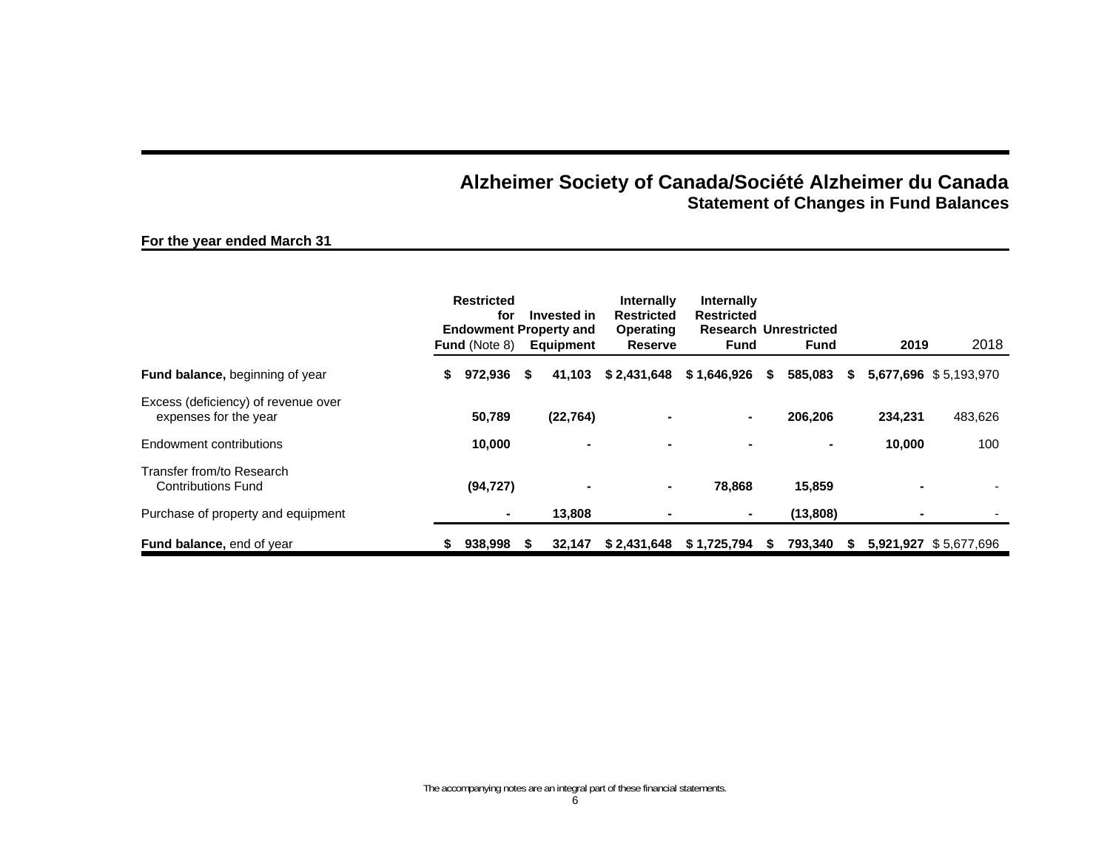## **Alzheimer Society of Canada/Société Alzheimer du Canada Statement of Changes in Fund Balances**

### **For the year ended March 31**

|                                                              |    | <b>Restricted</b><br>for<br><b>Endowment Property and</b><br><b>Fund</b> (Note 8) |    | Invested in<br>Equipment | <b>Internally</b><br><b>Restricted</b><br><b>Operating</b><br>Reserve | <b>Internally</b><br><b>Restricted</b><br><b>Research Unrestricted</b><br><b>Fund</b> |    | Fund           |    | 2019    | 2018                  |
|--------------------------------------------------------------|----|-----------------------------------------------------------------------------------|----|--------------------------|-----------------------------------------------------------------------|---------------------------------------------------------------------------------------|----|----------------|----|---------|-----------------------|
| <b>Fund balance, beginning of year</b>                       | S. | 972,936                                                                           | \$ | 41,103                   | \$2,431,648                                                           | \$1,646,926                                                                           | \$ | 585,083        | S. |         | 5,677,696 \$5,193,970 |
| Excess (deficiency) of revenue over<br>expenses for the year |    | 50.789                                                                            |    | (22, 764)                |                                                                       | $\blacksquare$                                                                        |    | 206.206        |    | 234,231 | 483,626               |
| Endowment contributions                                      |    | 10,000                                                                            |    |                          |                                                                       | $\blacksquare$                                                                        |    | $\blacksquare$ |    | 10,000  | 100                   |
| Transfer from/to Research<br><b>Contributions Fund</b>       |    | (94, 727)                                                                         |    |                          | $\blacksquare$                                                        | 78,868                                                                                |    | 15,859         |    |         |                       |
| Purchase of property and equipment                           |    |                                                                                   |    | 13,808                   |                                                                       | $\blacksquare$                                                                        |    | (13,808)       |    |         |                       |
| <b>Fund balance, end of year</b>                             | S  | 938.998                                                                           | -S | 32.147                   | \$2,431,648                                                           | \$1,725,794                                                                           | S. | 793.340        | S. |         | 5,921,927 \$5,677,696 |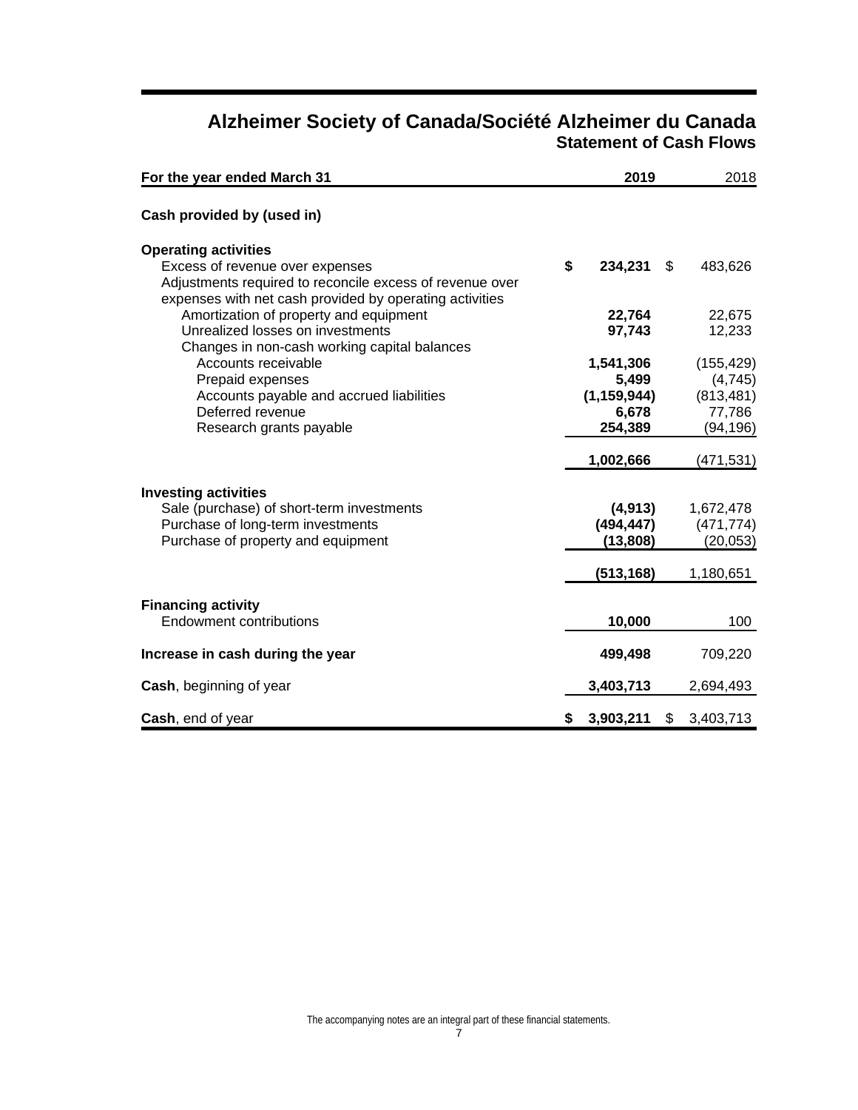# **Alzheimer Society of Canada/Société Alzheimer du Canada Statement of Cash Flows**

| For the year ended March 31                                                                                                                                                           | 2019                                |               | 2018                                 |
|---------------------------------------------------------------------------------------------------------------------------------------------------------------------------------------|-------------------------------------|---------------|--------------------------------------|
| Cash provided by (used in)                                                                                                                                                            |                                     |               |                                      |
| <b>Operating activities</b><br>Excess of revenue over expenses<br>Adjustments required to reconcile excess of revenue over<br>expenses with net cash provided by operating activities | \$<br>234,231                       | \$            | 483,626                              |
| Amortization of property and equipment<br>Unrealized losses on investments<br>Changes in non-cash working capital balances                                                            | 22,764<br>97,743                    |               | 22,675<br>12,233                     |
| Accounts receivable<br>Prepaid expenses<br>Accounts payable and accrued liabilities                                                                                                   | 1,541,306<br>5,499<br>(1, 159, 944) |               | (155, 429)<br>(4, 745)<br>(813, 481) |
| Deferred revenue<br>Research grants payable                                                                                                                                           | 6,678<br>254,389<br>1,002,666       |               | 77,786<br>(94, 196)                  |
| <b>Investing activities</b>                                                                                                                                                           |                                     |               | (471,531)                            |
| Sale (purchase) of short-term investments<br>Purchase of long-term investments<br>Purchase of property and equipment                                                                  | (4, 913)<br>(494, 447)<br>(13, 808) |               | 1,672,478<br>(471, 774)<br>(20, 053) |
|                                                                                                                                                                                       | (513, 168)                          |               | 1,180,651                            |
| <b>Financing activity</b><br>Endowment contributions                                                                                                                                  | 10,000                              |               | 100                                  |
| Increase in cash during the year                                                                                                                                                      | 499,498                             |               | 709,220                              |
| Cash, beginning of year                                                                                                                                                               | 3,403,713                           |               | 2,694,493                            |
| Cash, end of year                                                                                                                                                                     | \$3,903,211                         | $\mathcal{S}$ | 3,403,713                            |

The accompanying notes are an integral part of these financial statements.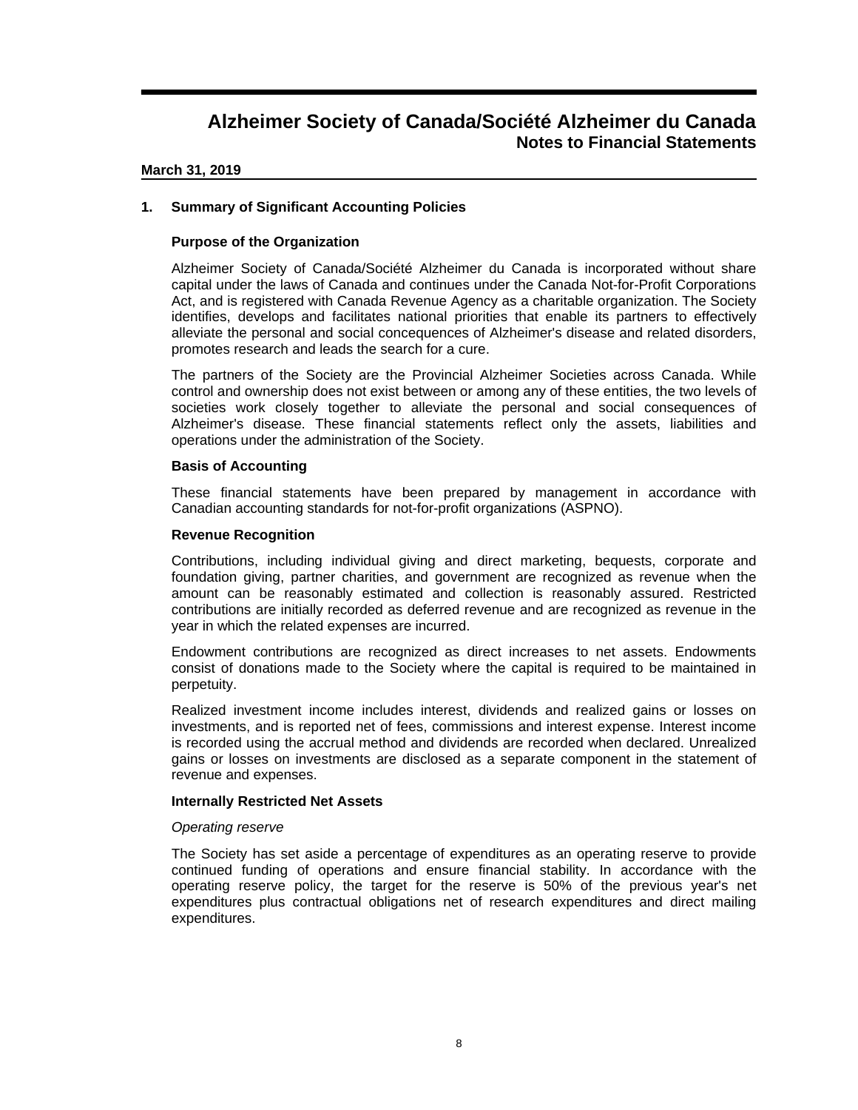### **March 31, 2019**

### **1. Summary of Significant Accounting Policies**

### **Purpose of the Organization**

Alzheimer Society of Canada/Société Alzheimer du Canada is incorporated without share capital under the laws of Canada and continues under the Canada Not-for-Profit Corporations Act, and is registered with Canada Revenue Agency as a charitable organization. The Society identifies, develops and facilitates national priorities that enable its partners to effectively alleviate the personal and social concequences of Alzheimer's disease and related disorders, promotes research and leads the search for a cure.

The partners of the Society are the Provincial Alzheimer Societies across Canada. While control and ownership does not exist between or among any of these entities, the two levels of societies work closely together to alleviate the personal and social consequences of Alzheimer's disease. These financial statements reflect only the assets, liabilities and operations under the administration of the Society.

#### **Basis of Accounting**

These financial statements have been prepared by management in accordance with Canadian accounting standards for not-for-profit organizations (ASPNO).

### **Revenue Recognition**

Contributions, including individual giving and direct marketing, bequests, corporate and foundation giving, partner charities, and government are recognized as revenue when the amount can be reasonably estimated and collection is reasonably assured. Restricted contributions are initially recorded as deferred revenue and are recognized as revenue in the year in which the related expenses are incurred.

Endowment contributions are recognized as direct increases to net assets. Endowments consist of donations made to the Society where the capital is required to be maintained in perpetuity.

Realized investment income includes interest, dividends and realized gains or losses on investments, and is reported net of fees, commissions and interest expense. Interest income is recorded using the accrual method and dividends are recorded when declared. Unrealized gains or losses on investments are disclosed as a separate component in the statement of revenue and expenses.

### **Internally Restricted Net Assets**

#### *Operating reserve*

The Society has set aside a percentage of expenditures as an operating reserve to provide continued funding of operations and ensure financial stability. In accordance with the operating reserve policy, the target for the reserve is 50% of the previous year's net expenditures plus contractual obligations net of research expenditures and direct mailing expenditures.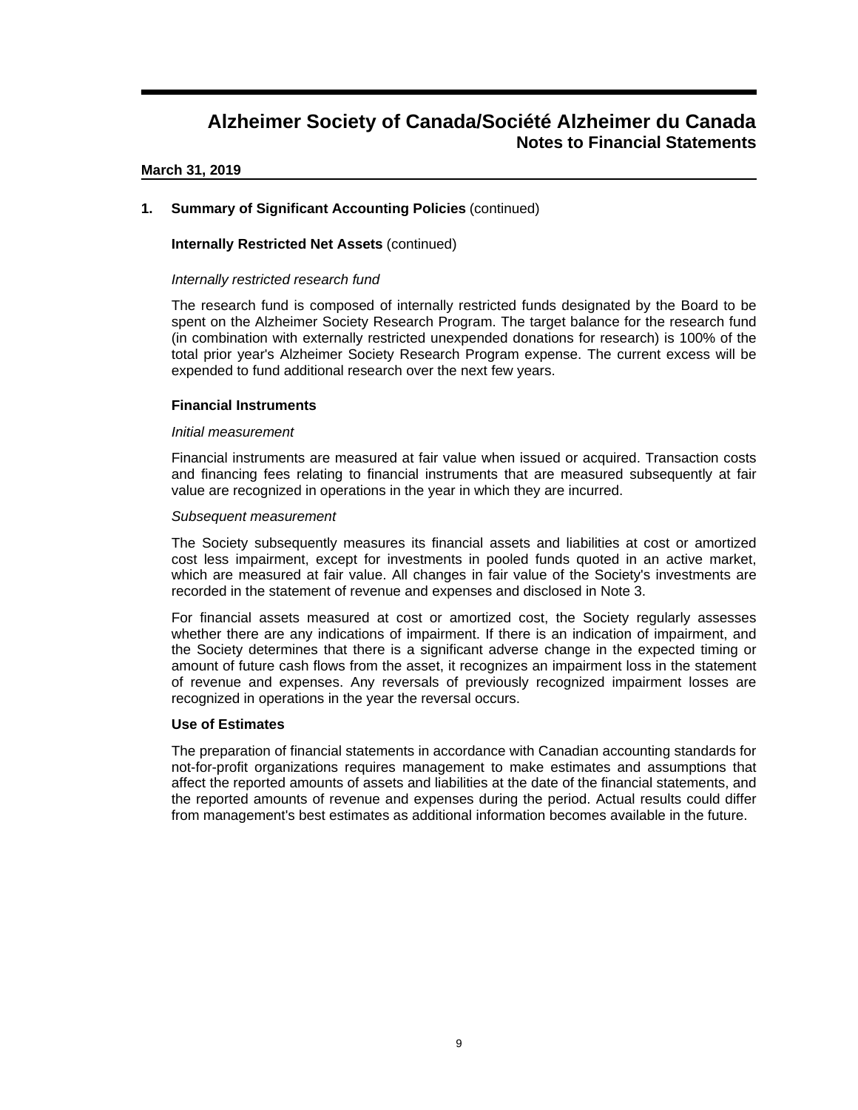### **March 31, 2019**

### **1. Summary of Significant Accounting Policies** (continued)

**Internally Restricted Net Assets** (continued)

#### *Internally restricted research fund*

The research fund is composed of internally restricted funds designated by the Board to be spent on the Alzheimer Society Research Program. The target balance for the research fund (in combination with externally restricted unexpended donations for research) is 100% of the total prior year's Alzheimer Society Research Program expense. The current excess will be expended to fund additional research over the next few years.

### **Financial Instruments**

#### *Initial measurement*

Financial instruments are measured at fair value when issued or acquired. Transaction costs and financing fees relating to financial instruments that are measured subsequently at fair value are recognized in operations in the year in which they are incurred.

#### *Subsequent measurement*

The Society subsequently measures its financial assets and liabilities at cost or amortized cost less impairment, except for investments in pooled funds quoted in an active market, which are measured at fair value. All changes in fair value of the Society's investments are recorded in the statement of revenue and expenses and disclosed in Note 3.

For financial assets measured at cost or amortized cost, the Society regularly assesses whether there are any indications of impairment. If there is an indication of impairment, and the Society determines that there is a significant adverse change in the expected timing or amount of future cash flows from the asset, it recognizes an impairment loss in the statement of revenue and expenses. Any reversals of previously recognized impairment losses are recognized in operations in the year the reversal occurs.

#### **Use of Estimates**

The preparation of financial statements in accordance with Canadian accounting standards for not-for-profit organizations requires management to make estimates and assumptions that affect the reported amounts of assets and liabilities at the date of the financial statements, and the reported amounts of revenue and expenses during the period. Actual results could differ from management's best estimates as additional information becomes available in the future.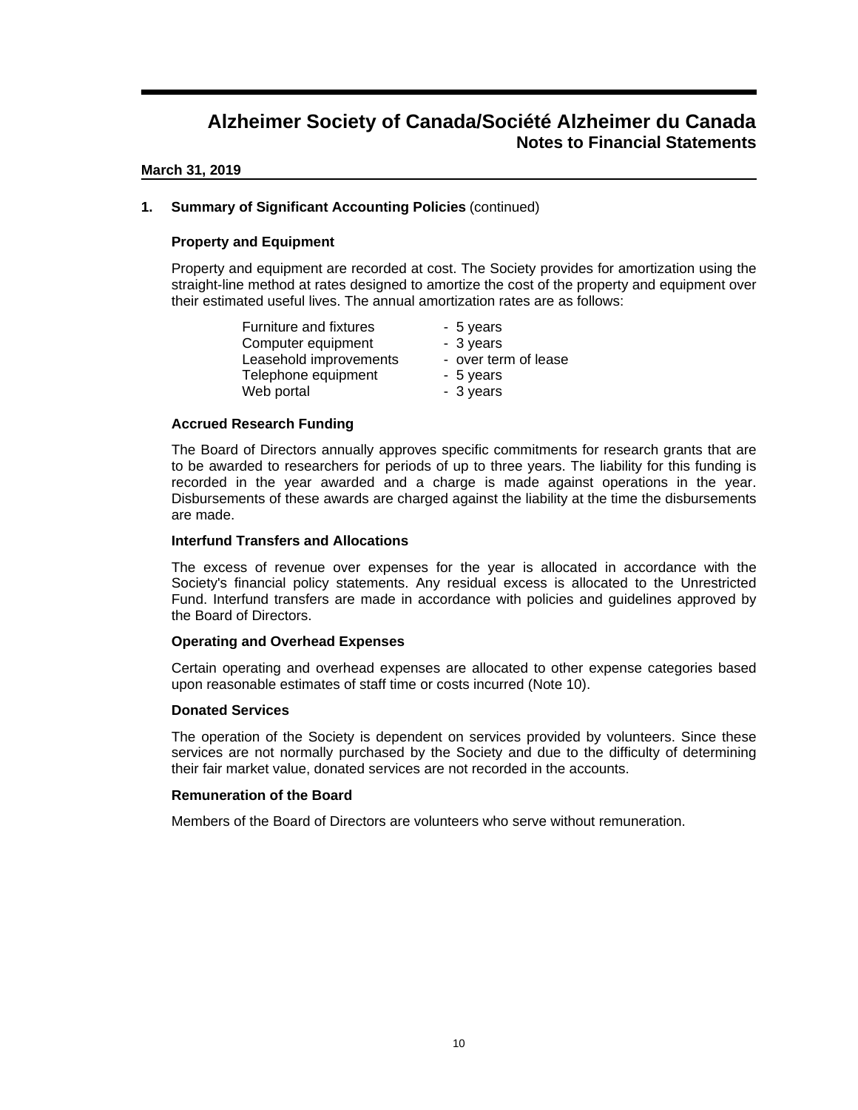### **March 31, 2019**

### **1. Summary of Significant Accounting Policies** (continued)

### **Property and Equipment**

Property and equipment are recorded at cost. The Society provides for amortization using the straight-line method at rates designed to amortize the cost of the property and equipment over their estimated useful lives. The annual amortization rates are as follows:

> Furniture and fixtures - 5 years Computer equipment - 3 years Leasehold improvements - over term of lease Telephone equipment - 5 years Web portal The Research States of Streets and Streets and Streets and Streets and Streets and Streets and Streets and Streets and Streets and Streets and Streets and Streets and Streets and Streets and Streets and Streets

### **Accrued Research Funding**

The Board of Directors annually approves specific commitments for research grants that are to be awarded to researchers for periods of up to three years. The liability for this funding is recorded in the year awarded and a charge is made against operations in the year. Disbursements of these awards are charged against the liability at the time the disbursements are made.

### **Interfund Transfers and Allocations**

The excess of revenue over expenses for the year is allocated in accordance with the Society's financial policy statements. Any residual excess is allocated to the Unrestricted Fund. Interfund transfers are made in accordance with policies and guidelines approved by the Board of Directors.

#### **Operating and Overhead Expenses**

Certain operating and overhead expenses are allocated to other expense categories based upon reasonable estimates of staff time or costs incurred (Note 10).

#### **Donated Services**

The operation of the Society is dependent on services provided by volunteers. Since these services are not normally purchased by the Society and due to the difficulty of determining their fair market value, donated services are not recorded in the accounts.

#### **Remuneration of the Board**

Members of the Board of Directors are volunteers who serve without remuneration.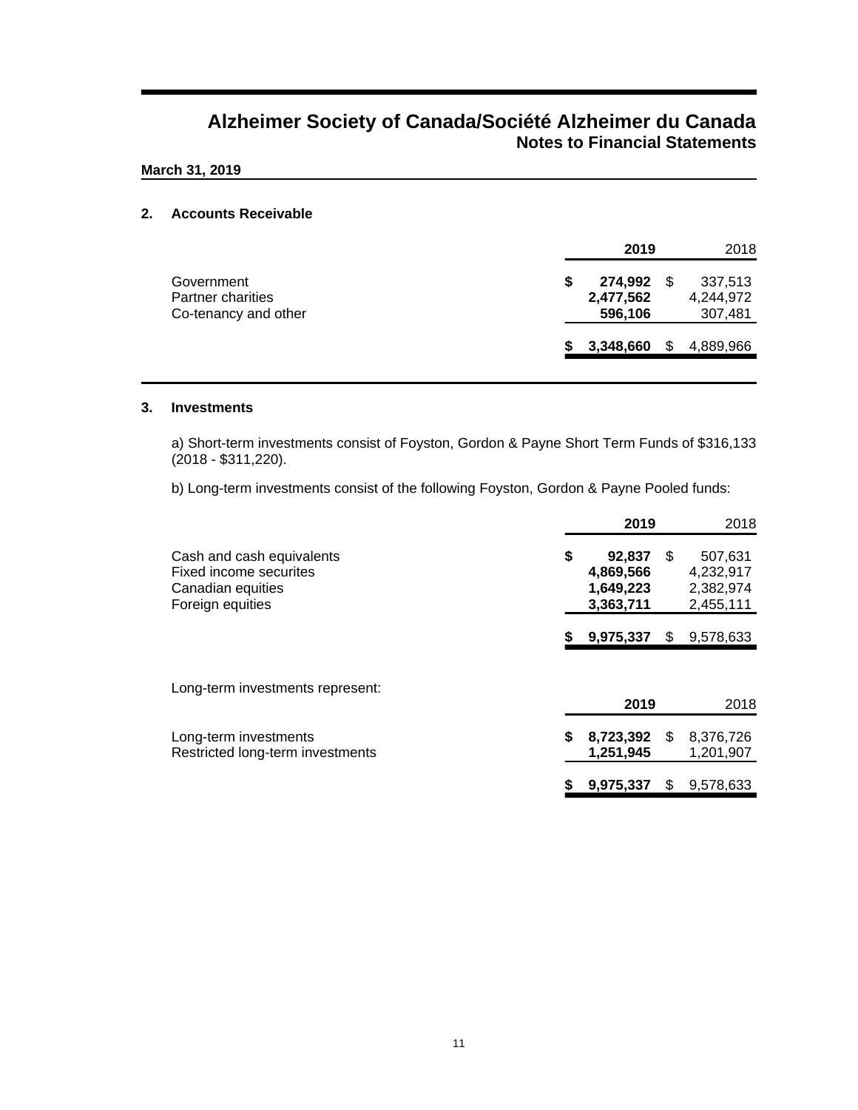### **March 31, 2019**

### **2. Accounts Receivable**

|                                                         | 2019                            |    | 2018                            |  |
|---------------------------------------------------------|---------------------------------|----|---------------------------------|--|
| Government<br>Partner charities<br>Co-tenancy and other | 274,992<br>2,477,562<br>596,106 | S  | 337,513<br>4,244,972<br>307,481 |  |
|                                                         | 3,348,660                       | \$ | 4,889,966                       |  |

### **3. Investments**

a) Short-term investments consist of Foyston, Gordon & Payne Short Term Funds of \$316,133 (2018 - \$311,220).

b) Long-term investments consist of the following Foyston, Gordon & Payne Pooled funds:

|                                                                                              |    | 2019                                          |     |                                                |
|----------------------------------------------------------------------------------------------|----|-----------------------------------------------|-----|------------------------------------------------|
| Cash and cash equivalents<br>Fixed income securites<br>Canadian equities<br>Foreign equities | \$ | 92,837<br>4,869,566<br>1,649,223<br>3,363,711 | \$. | 507,631<br>4,232,917<br>2,382,974<br>2,455,111 |
|                                                                                              | S  | 9,975,337                                     | S   | 9,578,633                                      |
| Long-term investments represent:                                                             |    | 2019                                          |     | 2018                                           |
| Long-term investments<br>Restricted long-term investments                                    | \$ | 8,723,392<br>1,251,945                        | \$. | 8,376,726<br>1,201,907                         |
|                                                                                              | \$ | 9,975,337                                     | Ж,  | 9.578.633                                      |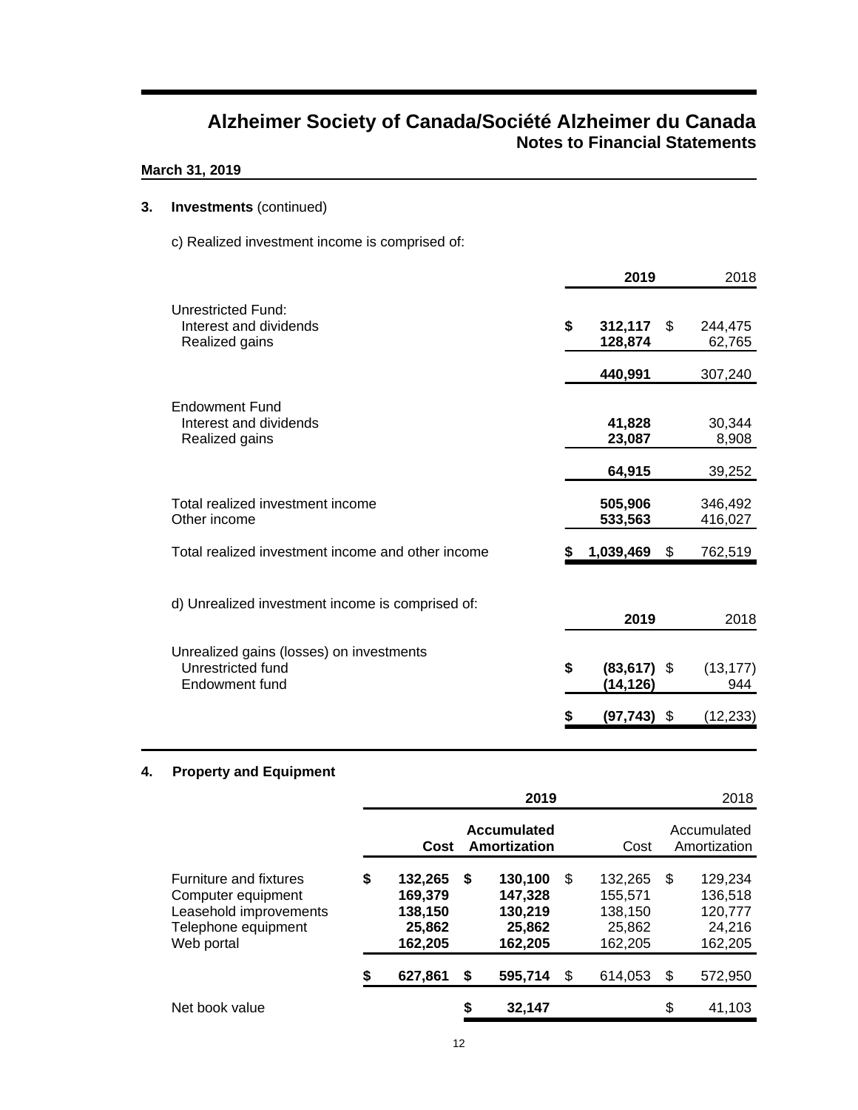### **March 31, 2019**

### **3. Investments** (continued)

c) Realized investment income is comprised of:

|                                                                                       | 2019                       | 2018                    |  |
|---------------------------------------------------------------------------------------|----------------------------|-------------------------|--|
| Unrestricted Fund:<br>Interest and dividends<br>\$<br>Realized gains                  | 312,117<br>128,874         | \$<br>244,475<br>62,765 |  |
|                                                                                       | 440,991                    | 307,240                 |  |
| <b>Endowment Fund</b><br>Interest and dividends<br>Realized gains                     | 41,828<br>23,087           | 30,344<br>8,908         |  |
|                                                                                       | 64,915                     | 39,252                  |  |
| Total realized investment income<br>Other income                                      | 505,906<br>533,563         | 346,492<br>416,027      |  |
| Total realized investment income and other income                                     | 1,039,469 \$               | 762,519                 |  |
| d) Unrealized investment income is comprised of:                                      | 2019                       | 2018                    |  |
| Unrealized gains (losses) on investments<br>Unrestricted fund<br>\$<br>Endowment fund | $(83, 617)$ \$<br>(14,126) | (13, 177)<br>944        |  |
| 5                                                                                     | $(97, 743)$ \$             | (12, 233)               |  |

### **4. Property and Equipment**

|                                                                                                                    |                                                          | 2019                                                     |     |                                                    |     | 2018                                               |
|--------------------------------------------------------------------------------------------------------------------|----------------------------------------------------------|----------------------------------------------------------|-----|----------------------------------------------------|-----|----------------------------------------------------|
|                                                                                                                    | Cost                                                     | <b>Accumulated</b><br>Amortization                       |     | Cost                                               |     | Accumulated<br>Amortization                        |
| <b>Furniture and fixtures</b><br>Computer equipment<br>Leasehold improvements<br>Telephone equipment<br>Web portal | \$<br>132,265<br>169,379<br>138,150<br>25,862<br>162,205 | \$<br>130,100<br>147,328<br>130,219<br>25,862<br>162,205 | \$. | 132,265<br>155,571<br>138,150<br>25,862<br>162,205 | \$. | 129,234<br>136.518<br>120,777<br>24,216<br>162,205 |
|                                                                                                                    | \$<br>627,861                                            | \$<br>595,714                                            | S   | 614,053                                            | \$. | 572,950                                            |
| Net book value                                                                                                     |                                                          | \$<br>32,147                                             |     |                                                    | \$  | 41,103                                             |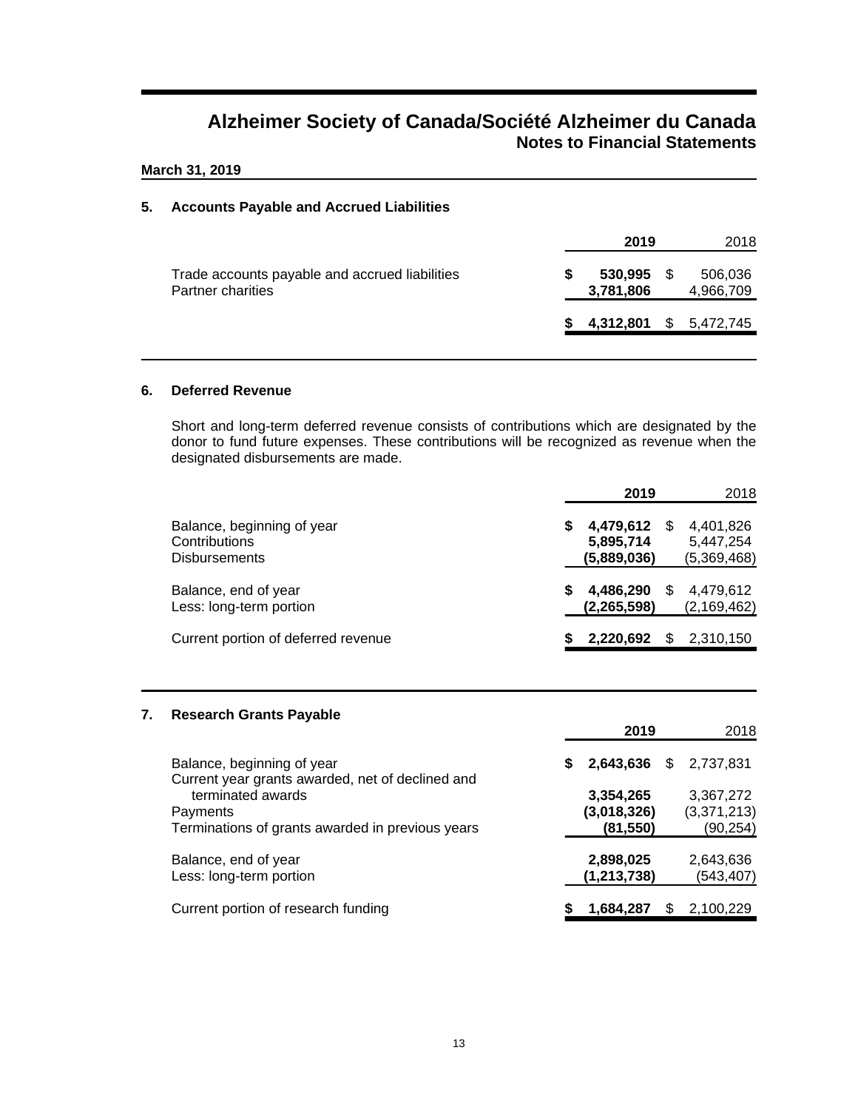### **March 31, 2019**

### **5. Accounts Payable and Accrued Liabilities**

|                                                                     | 2019                   | 2018 |                      |
|---------------------------------------------------------------------|------------------------|------|----------------------|
| Trade accounts payable and accrued liabilities<br>Partner charities | 530,995<br>3,781,806   | S.   | 506,036<br>4,966,709 |
|                                                                     | 4,312,801 \$ 5,472,745 |      |                      |
|                                                                     |                        |      |                      |

### **6. Deferred Revenue**

Short and long-term deferred revenue consists of contributions which are designated by the donor to fund future expenses. These contributions will be recognized as revenue when the designated disbursements are made.

|                                                                     |   | 2019                                  | 2018 |                                       |
|---------------------------------------------------------------------|---|---------------------------------------|------|---------------------------------------|
| Balance, beginning of year<br>Contributions<br><b>Disbursements</b> | S | 4,479,612<br>5,895,714<br>(5,889,036) |      | 4,401,826<br>5,447,254<br>(5,369,468) |
| Balance, end of year<br>Less: long-term portion                     | S | 4,486,290<br>(2, 265, 598)            | \$.  | 4,479,612<br>(2, 169, 462)            |
| Current portion of deferred revenue                                 |   | 2,220,692                             |      | 2,310,150                             |

### **7. Research Grants Payable**

| Balance, beginning of year                                                                                                            | S. | <b>2,643,636</b> \$ 2,737,831         |  |                                       |
|---------------------------------------------------------------------------------------------------------------------------------------|----|---------------------------------------|--|---------------------------------------|
| Current year grants awarded, net of declined and<br>terminated awards<br>Payments<br>Terminations of grants awarded in previous years |    | 3,354,265<br>(3,018,326)<br>(81, 550) |  | 3,367,272<br>(3,371,213)<br>(90, 254) |
| Balance, end of year<br>Less: long-term portion                                                                                       |    | 2,898,025<br>(1, 213, 738)            |  | 2,643,636<br>(543, 407)               |
| Current portion of research funding                                                                                                   |    | 1,684,287                             |  | 2,100,229                             |

**2019** 2018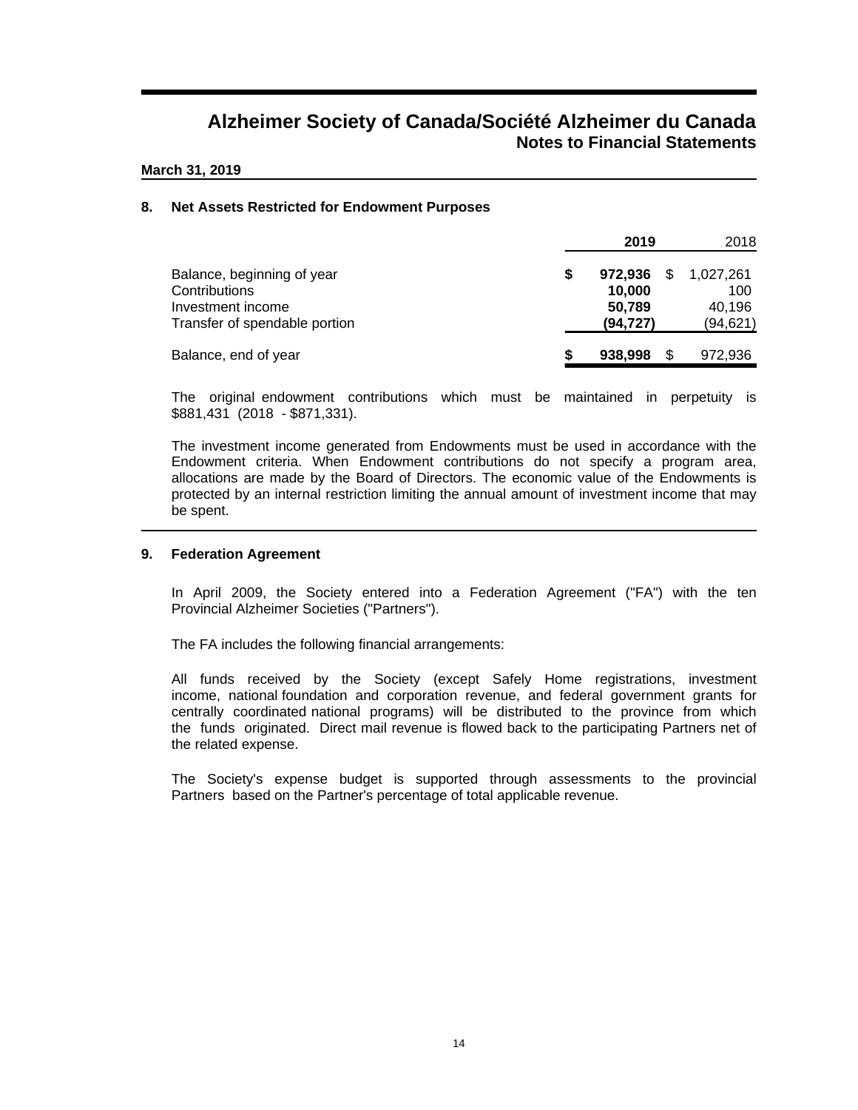### **March 31, 2019**

### **8. Net Assets Restricted for Endowment Purposes**

|                               |   | 2019      |   | 2018      |
|-------------------------------|---|-----------|---|-----------|
| Balance, beginning of year    | S | 972,936   | S | 1,027,261 |
| Contributions                 |   | 10,000    |   | 100       |
| Investment income             |   | 50,789    |   | 40,196    |
| Transfer of spendable portion |   | (94, 727) |   | (94, 621) |
| Balance, end of year          | S | 938,998   |   | 972,936   |

The original endowment contributions which must be maintained in perpetuity is \$881,431 (2018 - \$871,331).

The investment income generated from Endowments must be used in accordance with the Endowment criteria. When Endowment contributions do not specify a program area, allocations are made by the Board of Directors. The economic value of the Endowments is protected by an internal restriction limiting the annual amount of investment income that may be spent.

### **9. Federation Agreement**

In April 2009, the Society entered into a Federation Agreement ("FA") with the ten Provincial Alzheimer Societies ("Partners").

The FA includes the following financial arrangements:

All funds received by the Society (except Safely Home registrations, investment income, national foundation and corporation revenue, and federal government grants for centrally coordinated national programs) will be distributed to the province from which the funds originated. Direct mail revenue is flowed back to the participating Partners net of the related expense.

The Society's expense budget is supported through assessments to the provincial Partners based on the Partner's percentage of total applicable revenue.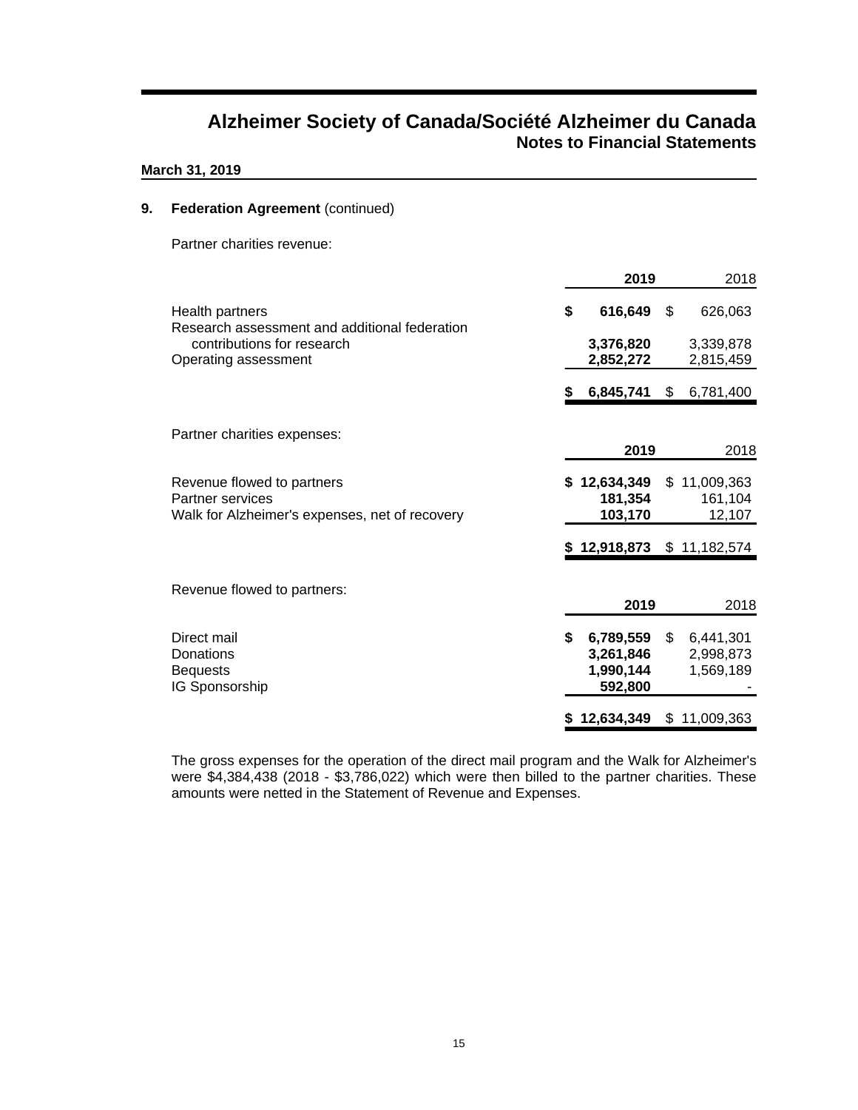### **March 31, 2019**

### **9.** Federation Agreement (continued)

Partner charities revenue:

|                                                                                                  |    | 2019                                           |     | 2018                                |
|--------------------------------------------------------------------------------------------------|----|------------------------------------------------|-----|-------------------------------------|
| Health partners<br>Research assessment and additional federation                                 | \$ | 616,649                                        | \$  | 626,063                             |
| contributions for research<br>Operating assessment                                               |    | 3,376,820<br>2,852,272                         |     | 3,339,878<br>2,815,459              |
|                                                                                                  |    |                                                |     |                                     |
|                                                                                                  | S  | 6,845,741                                      | \$  | 6,781,400                           |
| Partner charities expenses:                                                                      |    |                                                |     |                                     |
|                                                                                                  |    | 2019                                           |     | 2018                                |
| Revenue flowed to partners<br>Partner services<br>Walk for Alzheimer's expenses, net of recovery | S  | 12,634,349<br>181,354<br>103,170               | \$. | 11,009,363<br>161,104<br>12,107     |
|                                                                                                  |    | $$12,918,873$ $$11,182,574$                    |     |                                     |
| Revenue flowed to partners:                                                                      |    |                                                |     |                                     |
|                                                                                                  |    | 2019                                           |     | 2018                                |
| Direct mail<br>Donations<br><b>Bequests</b><br>IG Sponsorship                                    | \$ | 6,789,559<br>3,261,846<br>1,990,144<br>592,800 | \$  | 6,441,301<br>2,998,873<br>1,569,189 |
|                                                                                                  | S  | 12,634,349                                     |     | \$11,009,363                        |

The gross expenses for the operation of the direct mail program and the Walk for Alzheimer's were \$4,384,438 (2018 - \$3,786,022) which were then billed to the partner charities. These amounts were netted in the Statement of Revenue and Expenses.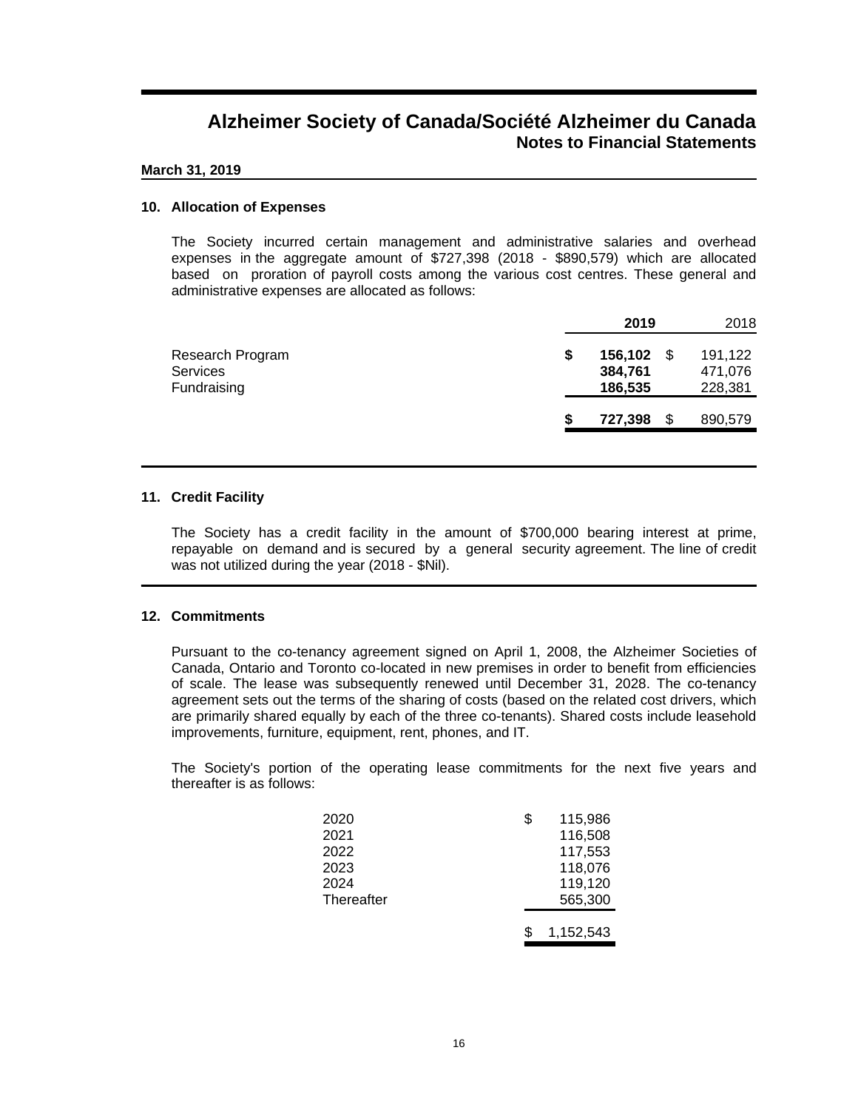### **March 31, 2019**

### **10. Allocation of Expenses**

The Society incurred certain management and administrative salaries and overhead expenses in the aggregate amount of \$727,398 (2018 - \$890,579) which are allocated based on proration of payroll costs among the various cost centres. These general and administrative expenses are allocated as follows:

|                                                    |   | 2019                          |   | 2018                          |
|----------------------------------------------------|---|-------------------------------|---|-------------------------------|
| Research Program<br><b>Services</b><br>Fundraising | S | 156,102<br>384,761<br>186,535 |   | 191,122<br>471,076<br>228,381 |
|                                                    | S | 727,398                       | S | 890,579                       |

### **11. Credit Facility**

The Society has a credit facility in the amount of \$700,000 bearing interest at prime, repayable on demand and is secured by a general security agreement. The line of credit was not utilized during the year (2018 - \$Nil).

### **12. Commitments**

Pursuant to the co-tenancy agreement signed on April 1, 2008, the Alzheimer Societies of Canada, Ontario and Toronto co-located in new premises in order to benefit from efficiencies of scale. The lease was subsequently renewed until December 31, 2028. The co-tenancy agreement sets out the terms of the sharing of costs (based on the related cost drivers, which are primarily shared equally by each of the three co-tenants). Shared costs include leasehold improvements, furniture, equipment, rent, phones, and IT.

The Society's portion of the operating lease commitments for the next five years and thereafter is as follows:

| 2020       | \$<br>115,986 |
|------------|---------------|
| 2021       | 116,508       |
| 2022       | 117,553       |
| 2023       | 118,076       |
| 2024       | 119,120       |
| Thereafter | 565,300       |
|            |               |
|            | 1,152,543     |